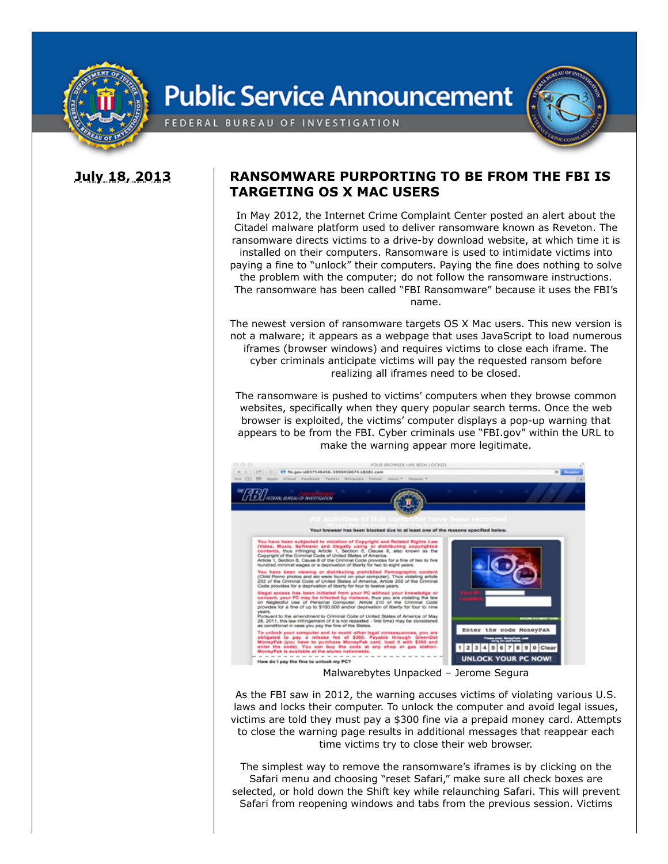

## **Public Service Announcement**



FEDERAL BUREAU OF INVESTIGATION

## **July 18, 2013 RANSOMWARE PURPORTING TO BE FROM THE FBI IS TARGETING OS X MAC USERS**

In May 2012, the Internet Crime Complaint Center posted an alert about the Citadel malware platform used to deliver ransomware known as Reveton. The ransomware directs victims to a drive-by download website, at which time it is installed on their computers. Ransomware is used to intimidate victims into paying a fine to "unlock" their computers. Paying the fine does nothing to solve the problem with the computer; do not follow the ransomware instructions. The ransomware has been called "FBI Ransomware" because it uses the FBI's name.

The newest version of ransomware targets OS X Mac users. This new version is not a malware; it appears as a webpage that uses JavaScript to load numerous iframes (browser windows) and requires victims to close each iframe. The cyber criminals anticipate victims will pay the requested ransom before realizing all iframes need to be closed.

The ransomware is pushed to victims' computers when they browse common websites, specifically when they query popular search terms. Once the web browser is exploited, the victims' computer displays a pop-up warning that appears to be from the FBI. Cyber criminals use "FBI.gov" within the URL to make the warning appear more legitimate.



Malwarebytes Unpacked – Jerome Segura

As the FBI saw in 2012, the warning accuses victims of violating various U.S. laws and locks their computer. To unlock the computer and avoid legal issues, victims are told they must pay a \$300 fine via a prepaid money card. Attempts to close the warning page results in additional messages that reappear each time victims try to close their web browser.

The simplest way to remove the ransomware's iframes is by clicking on the Safari menu and choosing "reset Safari," make sure all check boxes are selected, or hold down the Shift key while relaunching Safari. This will prevent Safari from reopening windows and tabs from the previous session. Victims